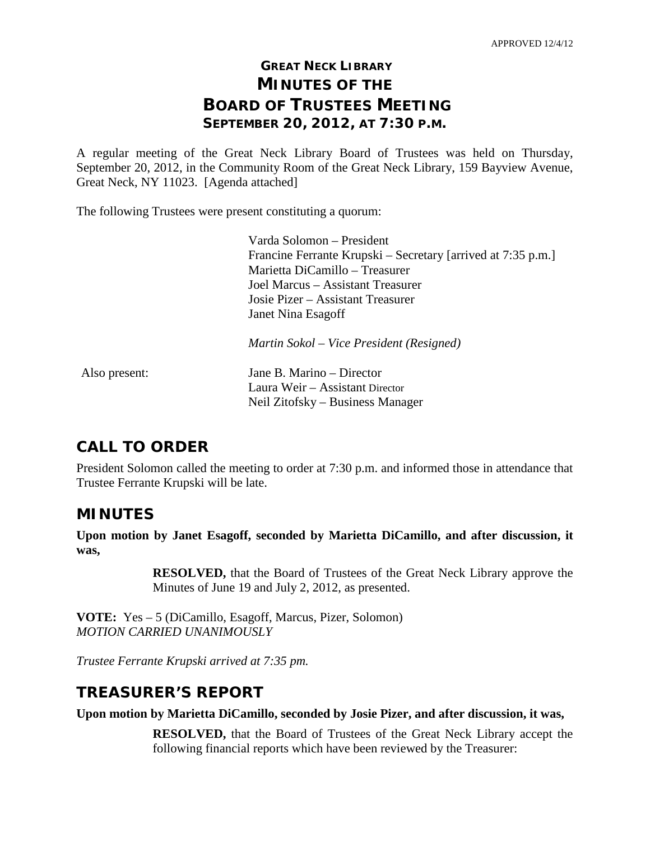# **GREAT NECK LIBRARY MINUTES OF THE BOARD OF TRUSTEES MEETING SEPTEMBER 20, 2012, AT 7:30 P.M.**

A regular meeting of the Great Neck Library Board of Trustees was held on Thursday, September 20, 2012, in the Community Room of the Great Neck Library, 159 Bayview Avenue, Great Neck, NY 11023. [Agenda attached]

The following Trustees were present constituting a quorum:

| Varda Solomon – President                                    |
|--------------------------------------------------------------|
| Francine Ferrante Krupski – Secretary [arrived at 7:35 p.m.] |
| Marietta DiCamillo – Treasurer                               |
| Joel Marcus – Assistant Treasurer                            |
| Josie Pizer – Assistant Treasurer                            |
| Janet Nina Esagoff                                           |
| Martin Sokol – Vice President (Resigned)                     |

| Also present: | Jane B. Marino – Director        |
|---------------|----------------------------------|
|               | Laura Weir – Assistant Director  |
|               | Neil Zitofsky – Business Manager |

# **CALL TO ORDER**

President Solomon called the meeting to order at 7:30 p.m. and informed those in attendance that Trustee Ferrante Krupski will be late.

# **MINUTES**

**Upon motion by Janet Esagoff, seconded by Marietta DiCamillo, and after discussion, it was,**

> **RESOLVED,** that the Board of Trustees of the Great Neck Library approve the Minutes of June 19 and July 2, 2012, as presented.

**VOTE:** Yes – 5 (DiCamillo, Esagoff, Marcus, Pizer, Solomon) *MOTION CARRIED UNANIMOUSLY*

*Trustee Ferrante Krupski arrived at 7:35 pm.*

# **TREASURER'S REPORT**

**Upon motion by Marietta DiCamillo, seconded by Josie Pizer, and after discussion, it was,**

**RESOLVED,** that the Board of Trustees of the Great Neck Library accept the following financial reports which have been reviewed by the Treasurer: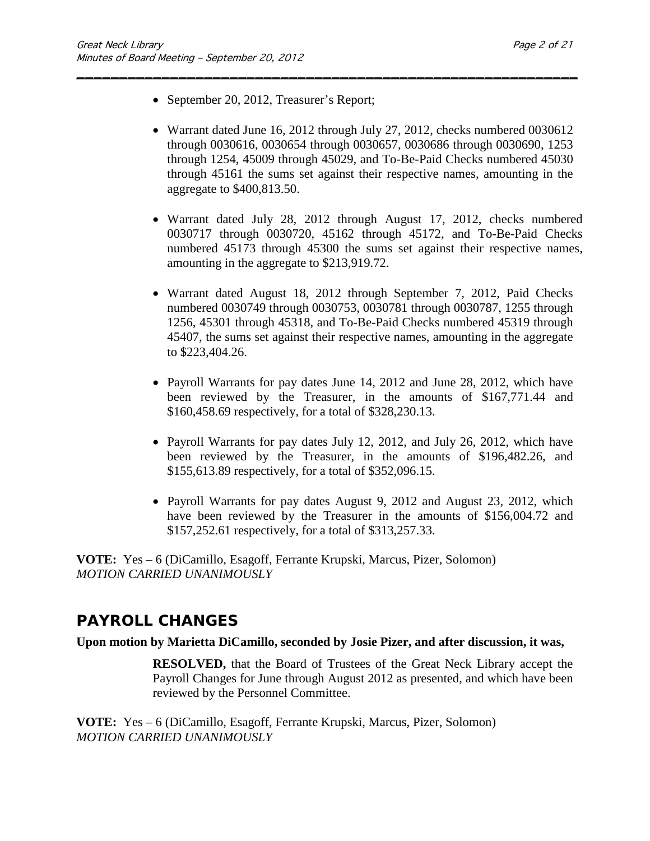- September 20, 2012, Treasurer's Report;
- Warrant dated June 16, 2012 through July 27, 2012, checks numbered 0030612 through 0030616, 0030654 through 0030657, 0030686 through 0030690, 1253 through 1254, 45009 through 45029, and To-Be-Paid Checks numbered 45030 through 45161 the sums set against their respective names, amounting in the aggregate to \$400,813.50.

\_\_\_\_\_\_\_\_\_\_\_\_\_\_\_\_\_\_\_\_\_\_\_\_\_\_\_\_\_\_\_\_\_\_\_\_\_\_\_\_\_\_\_\_\_\_\_\_\_\_\_\_\_\_\_\_\_\_\_

- Warrant dated July 28, 2012 through August 17, 2012, checks numbered 0030717 through 0030720, 45162 through 45172, and To-Be-Paid Checks numbered 45173 through 45300 the sums set against their respective names, amounting in the aggregate to \$213,919.72.
- Warrant dated August 18, 2012 through September 7, 2012, Paid Checks numbered 0030749 through 0030753, 0030781 through 0030787, 1255 through 1256, 45301 through 45318, and To-Be-Paid Checks numbered 45319 through 45407, the sums set against their respective names, amounting in the aggregate to \$223,404.26.
- Payroll Warrants for pay dates June 14, 2012 and June 28, 2012, which have been reviewed by the Treasurer, in the amounts of \$167,771.44 and \$160,458.69 respectively, for a total of \$328,230.13.
- Payroll Warrants for pay dates July 12, 2012, and July 26, 2012, which have been reviewed by the Treasurer, in the amounts of \$196,482.26, and \$155,613.89 respectively, for a total of \$352,096.15.
- Payroll Warrants for pay dates August 9, 2012 and August 23, 2012, which have been reviewed by the Treasurer in the amounts of \$156,004.72 and \$157,252.61 respectively, for a total of \$313,257.33.

**VOTE:** Yes – 6 (DiCamillo, Esagoff, Ferrante Krupski, Marcus, Pizer, Solomon) *MOTION CARRIED UNANIMOUSLY*

# **PAYROLL CHANGES**

### **Upon motion by Marietta DiCamillo, seconded by Josie Pizer, and after discussion, it was,**

**RESOLVED,** that the Board of Trustees of the Great Neck Library accept the Payroll Changes for June through August 2012 as presented, and which have been reviewed by the Personnel Committee.

**VOTE:** Yes – 6 (DiCamillo, Esagoff, Ferrante Krupski, Marcus, Pizer, Solomon) *MOTION CARRIED UNANIMOUSLY*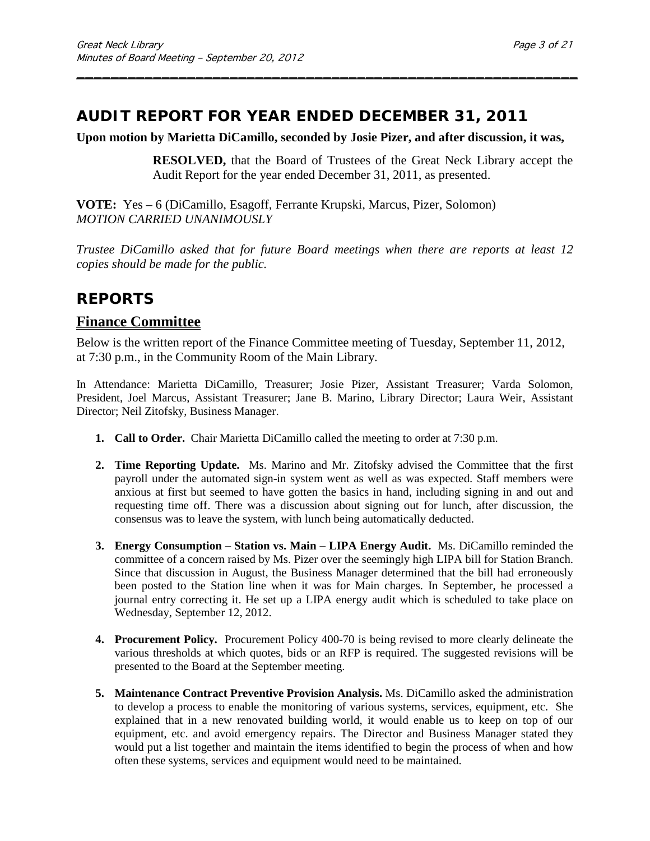# **AUDIT REPORT FOR YEAR ENDED DECEMBER 31, 2011**

### **Upon motion by Marietta DiCamillo, seconded by Josie Pizer, and after discussion, it was,**

\_\_\_\_\_\_\_\_\_\_\_\_\_\_\_\_\_\_\_\_\_\_\_\_\_\_\_\_\_\_\_\_\_\_\_\_\_\_\_\_\_\_\_\_\_\_\_\_\_\_\_\_\_\_\_\_\_\_\_

**RESOLVED,** that the Board of Trustees of the Great Neck Library accept the Audit Report for the year ended December 31, 2011, as presented.

**VOTE:** Yes – 6 (DiCamillo, Esagoff, Ferrante Krupski, Marcus, Pizer, Solomon) *MOTION CARRIED UNANIMOUSLY*

*Trustee DiCamillo asked that for future Board meetings when there are reports at least 12 copies should be made for the public.*

# **REPORTS**

# **Finance Committee**

Below is the written report of the Finance Committee meeting of Tuesday, September 11, 2012, at 7:30 p.m., in the Community Room of the Main Library.

In Attendance: Marietta DiCamillo, Treasurer; Josie Pizer, Assistant Treasurer; Varda Solomon, President, Joel Marcus, Assistant Treasurer; Jane B. Marino, Library Director; Laura Weir, Assistant Director; Neil Zitofsky, Business Manager.

- **1. Call to Order.** Chair Marietta DiCamillo called the meeting to order at 7:30 p.m.
- **2. Time Reporting Update.** Ms. Marino and Mr. Zitofsky advised the Committee that the first payroll under the automated sign-in system went as well as was expected. Staff members were anxious at first but seemed to have gotten the basics in hand, including signing in and out and requesting time off. There was a discussion about signing out for lunch, after discussion, the consensus was to leave the system, with lunch being automatically deducted.
- **3. Energy Consumption – Station vs. Main – LIPA Energy Audit.** Ms. DiCamillo reminded the committee of a concern raised by Ms. Pizer over the seemingly high LIPA bill for Station Branch. Since that discussion in August, the Business Manager determined that the bill had erroneously been posted to the Station line when it was for Main charges. In September, he processed a journal entry correcting it. He set up a LIPA energy audit which is scheduled to take place on Wednesday, September 12, 2012.
- **4. Procurement Policy.** Procurement Policy 400-70 is being revised to more clearly delineate the various thresholds at which quotes, bids or an RFP is required. The suggested revisions will be presented to the Board at the September meeting.
- **5. Maintenance Contract Preventive Provision Analysis.** Ms. DiCamillo asked the administration to develop a process to enable the monitoring of various systems, services, equipment, etc. She explained that in a new renovated building world, it would enable us to keep on top of our equipment, etc. and avoid emergency repairs. The Director and Business Manager stated they would put a list together and maintain the items identified to begin the process of when and how often these systems, services and equipment would need to be maintained.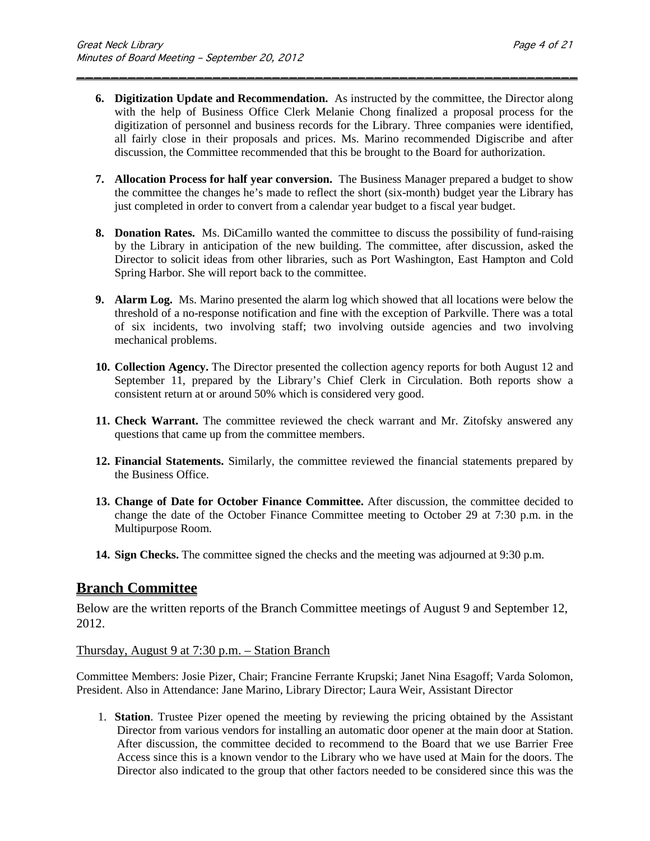**6. Digitization Update and Recommendation.** As instructed by the committee, the Director along with the help of Business Office Clerk Melanie Chong finalized a proposal process for the digitization of personnel and business records for the Library. Three companies were identified, all fairly close in their proposals and prices. Ms. Marino recommended Digiscribe and after discussion, the Committee recommended that this be brought to the Board for authorization.

\_\_\_\_\_\_\_\_\_\_\_\_\_\_\_\_\_\_\_\_\_\_\_\_\_\_\_\_\_\_\_\_\_\_\_\_\_\_\_\_\_\_\_\_\_\_\_\_\_\_\_\_\_\_\_\_\_\_\_

- **7. Allocation Process for half year conversion.** The Business Manager prepared a budget to show the committee the changes he's made to reflect the short (six-month) budget year the Library has just completed in order to convert from a calendar year budget to a fiscal year budget.
- **8. Donation Rates.** Ms. DiCamillo wanted the committee to discuss the possibility of fund-raising by the Library in anticipation of the new building. The committee, after discussion, asked the Director to solicit ideas from other libraries, such as Port Washington, East Hampton and Cold Spring Harbor. She will report back to the committee.
- **9. Alarm Log.** Ms. Marino presented the alarm log which showed that all locations were below the threshold of a no-response notification and fine with the exception of Parkville. There was a total of six incidents, two involving staff; two involving outside agencies and two involving mechanical problems.
- **10. Collection Agency.** The Director presented the collection agency reports for both August 12 and September 11, prepared by the Library's Chief Clerk in Circulation. Both reports show a consistent return at or around 50% which is considered very good.
- **11. Check Warrant.** The committee reviewed the check warrant and Mr. Zitofsky answered any questions that came up from the committee members.
- **12. Financial Statements.** Similarly, the committee reviewed the financial statements prepared by the Business Office.
- **13. Change of Date for October Finance Committee.** After discussion, the committee decided to change the date of the October Finance Committee meeting to October 29 at 7:30 p.m. in the Multipurpose Room.
- **14. Sign Checks.** The committee signed the checks and the meeting was adjourned at 9:30 p.m.

## **Branch Committee**

Below are the written reports of the Branch Committee meetings of August 9 and September 12, 2012.

#### Thursday, August 9 at 7:30 p.m. – Station Branch

Committee Members: Josie Pizer, Chair; Francine Ferrante Krupski; Janet Nina Esagoff; Varda Solomon, President. Also in Attendance: Jane Marino, Library Director; Laura Weir, Assistant Director

1. **Station**. Trustee Pizer opened the meeting by reviewing the pricing obtained by the Assistant Director from various vendors for installing an automatic door opener at the main door at Station. After discussion, the committee decided to recommend to the Board that we use Barrier Free Access since this is a known vendor to the Library who we have used at Main for the doors. The Director also indicated to the group that other factors needed to be considered since this was the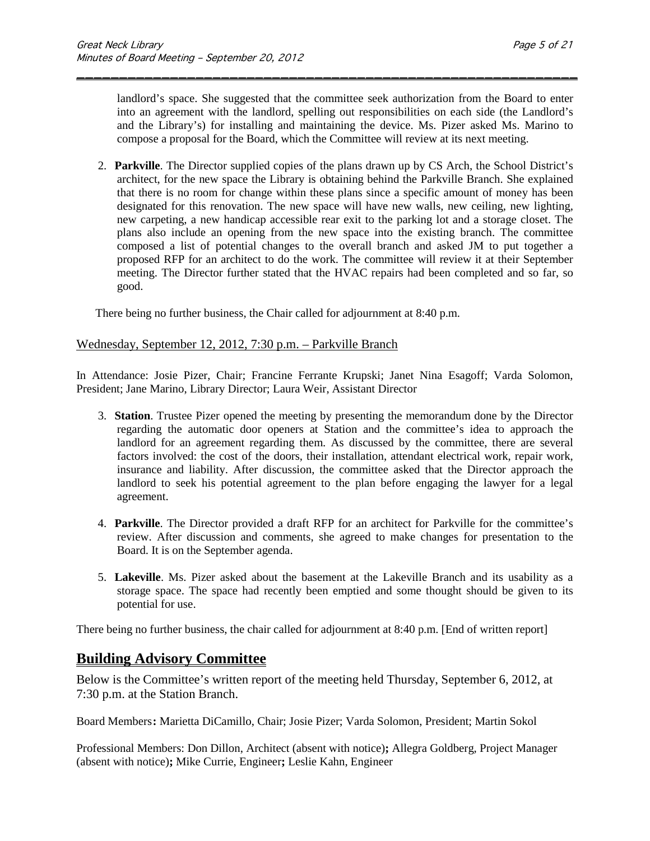landlord's space. She suggested that the committee seek authorization from the Board to enter into an agreement with the landlord, spelling out responsibilities on each side (the Landlord's and the Library's) for installing and maintaining the device. Ms. Pizer asked Ms. Marino to compose a proposal for the Board, which the Committee will review at its next meeting.

\_\_\_\_\_\_\_\_\_\_\_\_\_\_\_\_\_\_\_\_\_\_\_\_\_\_\_\_\_\_\_\_\_\_\_\_\_\_\_\_\_\_\_\_\_\_\_\_\_\_\_\_\_\_\_\_\_\_\_

2. **Parkville**. The Director supplied copies of the plans drawn up by CS Arch, the School District's architect, for the new space the Library is obtaining behind the Parkville Branch. She explained that there is no room for change within these plans since a specific amount of money has been designated for this renovation. The new space will have new walls, new ceiling, new lighting, new carpeting, a new handicap accessible rear exit to the parking lot and a storage closet. The plans also include an opening from the new space into the existing branch. The committee composed a list of potential changes to the overall branch and asked JM to put together a proposed RFP for an architect to do the work. The committee will review it at their September meeting. The Director further stated that the HVAC repairs had been completed and so far, so good.

There being no further business, the Chair called for adjournment at 8:40 p.m.

#### Wednesday, September 12, 2012, 7:30 p.m. – Parkville Branch

In Attendance: Josie Pizer, Chair; Francine Ferrante Krupski; Janet Nina Esagoff; Varda Solomon, President; Jane Marino, Library Director; Laura Weir, Assistant Director

- 3. **Station**. Trustee Pizer opened the meeting by presenting the memorandum done by the Director regarding the automatic door openers at Station and the committee's idea to approach the landlord for an agreement regarding them. As discussed by the committee, there are several factors involved: the cost of the doors, their installation, attendant electrical work, repair work, insurance and liability. After discussion, the committee asked that the Director approach the landlord to seek his potential agreement to the plan before engaging the lawyer for a legal agreement.
- 4. **Parkville**. The Director provided a draft RFP for an architect for Parkville for the committee's review. After discussion and comments, she agreed to make changes for presentation to the Board. It is on the September agenda.
- 5. **Lakeville**. Ms. Pizer asked about the basement at the Lakeville Branch and its usability as a storage space. The space had recently been emptied and some thought should be given to its potential for use.

There being no further business, the chair called for adjournment at 8:40 p.m. [End of written report]

## **Building Advisory Committee**

Below is the Committee's written report of the meeting held Thursday, September 6, 2012, at 7:30 p.m. at the Station Branch.

Board Members**:** Marietta DiCamillo, Chair; Josie Pizer; Varda Solomon, President; Martin Sokol

Professional Members: Don Dillon, Architect (absent with notice)**;** Allegra Goldberg, Project Manager (absent with notice)**;** Mike Currie, Engineer**;** Leslie Kahn, Engineer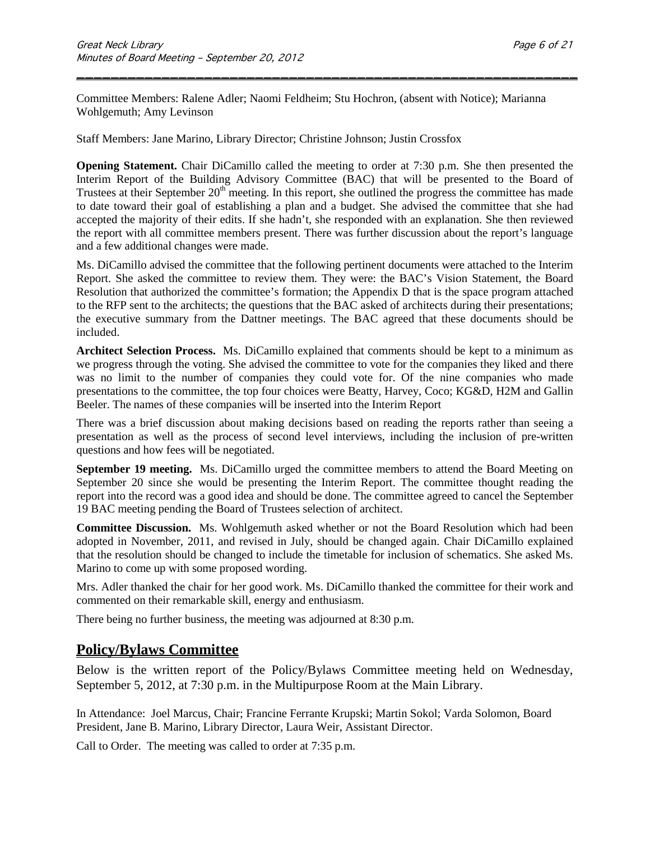Committee Members: Ralene Adler; Naomi Feldheim; Stu Hochron, (absent with Notice); Marianna Wohlgemuth; Amy Levinson

\_\_\_\_\_\_\_\_\_\_\_\_\_\_\_\_\_\_\_\_\_\_\_\_\_\_\_\_\_\_\_\_\_\_\_\_\_\_\_\_\_\_\_\_\_\_\_\_\_\_\_\_\_\_\_\_\_\_\_

Staff Members: Jane Marino, Library Director; Christine Johnson; Justin Crossfox

**Opening Statement.** Chair DiCamillo called the meeting to order at 7:30 p.m. She then presented the Interim Report of the Building Advisory Committee (BAC) that will be presented to the Board of Trustees at their September 20<sup>th</sup> meeting. In this report, she outlined the progress the committee has made to date toward their goal of establishing a plan and a budget. She advised the committee that she had accepted the majority of their edits. If she hadn't, she responded with an explanation. She then reviewed the report with all committee members present. There was further discussion about the report's language and a few additional changes were made.

Ms. DiCamillo advised the committee that the following pertinent documents were attached to the Interim Report. She asked the committee to review them. They were: the BAC's Vision Statement, the Board Resolution that authorized the committee's formation; the Appendix D that is the space program attached to the RFP sent to the architects; the questions that the BAC asked of architects during their presentations; the executive summary from the Dattner meetings. The BAC agreed that these documents should be included.

**Architect Selection Process.** Ms. DiCamillo explained that comments should be kept to a minimum as we progress through the voting. She advised the committee to vote for the companies they liked and there was no limit to the number of companies they could vote for. Of the nine companies who made presentations to the committee, the top four choices were Beatty, Harvey, Coco; KG&D, H2M and Gallin Beeler. The names of these companies will be inserted into the Interim Report

There was a brief discussion about making decisions based on reading the reports rather than seeing a presentation as well as the process of second level interviews, including the inclusion of pre-written questions and how fees will be negotiated.

**September 19 meeting.** Ms. DiCamillo urged the committee members to attend the Board Meeting on September 20 since she would be presenting the Interim Report. The committee thought reading the report into the record was a good idea and should be done. The committee agreed to cancel the September 19 BAC meeting pending the Board of Trustees selection of architect.

**Committee Discussion.** Ms. Wohlgemuth asked whether or not the Board Resolution which had been adopted in November, 2011, and revised in July, should be changed again. Chair DiCamillo explained that the resolution should be changed to include the timetable for inclusion of schematics. She asked Ms. Marino to come up with some proposed wording.

Mrs. Adler thanked the chair for her good work. Ms. DiCamillo thanked the committee for their work and commented on their remarkable skill, energy and enthusiasm.

There being no further business, the meeting was adjourned at 8:30 p.m.

## **Policy/Bylaws Committee**

Below is the written report of the Policy/Bylaws Committee meeting held on Wednesday, September 5, 2012, at 7:30 p.m. in the Multipurpose Room at the Main Library.

In Attendance:Joel Marcus, Chair; Francine Ferrante Krupski; Martin Sokol; Varda Solomon, Board President, Jane B. Marino, Library Director, Laura Weir, Assistant Director.

Call to Order.The meeting was called to order at 7:35 p.m.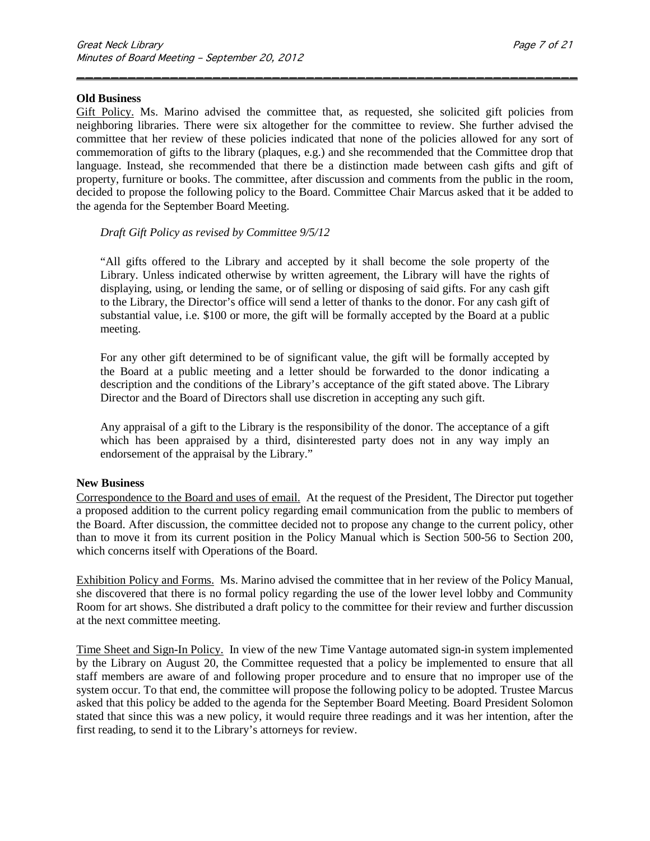#### **Old Business**

Gift Policy. Ms. Marino advised the committee that, as requested, she solicited gift policies from neighboring libraries. There were six altogether for the committee to review. She further advised the committee that her review of these policies indicated that none of the policies allowed for any sort of commemoration of gifts to the library (plaques, e.g.) and she recommended that the Committee drop that language. Instead, she recommended that there be a distinction made between cash gifts and gift of property, furniture or books. The committee, after discussion and comments from the public in the room, decided to propose the following policy to the Board. Committee Chair Marcus asked that it be added to the agenda for the September Board Meeting.

\_\_\_\_\_\_\_\_\_\_\_\_\_\_\_\_\_\_\_\_\_\_\_\_\_\_\_\_\_\_\_\_\_\_\_\_\_\_\_\_\_\_\_\_\_\_\_\_\_\_\_\_\_\_\_\_\_\_\_

#### *Draft Gift Policy as revised by Committee 9/5/12*

"All gifts offered to the Library and accepted by it shall become the sole property of the Library. Unless indicated otherwise by written agreement, the Library will have the rights of displaying, using, or lending the same, or of selling or disposing of said gifts. For any cash gift to the Library, the Director's office will send a letter of thanks to the donor. For any cash gift of substantial value, i.e. \$100 or more, the gift will be formally accepted by the Board at a public meeting.

For any other gift determined to be of significant value, the gift will be formally accepted by the Board at a public meeting and a letter should be forwarded to the donor indicating a description and the conditions of the Library's acceptance of the gift stated above. The Library Director and the Board of Directors shall use discretion in accepting any such gift.

Any appraisal of a gift to the Library is the responsibility of the donor. The acceptance of a gift which has been appraised by a third, disinterested party does not in any way imply an endorsement of the appraisal by the Library."

#### **New Business**

Correspondence to the Board and uses of email.At the request of the President, The Director put together a proposed addition to the current policy regarding email communication from the public to members of the Board. After discussion, the committee decided not to propose any change to the current policy, other than to move it from its current position in the Policy Manual which is Section 500-56 to Section 200, which concerns itself with Operations of the Board.

Exhibition Policy and Forms.Ms. Marino advised the committee that in her review of the Policy Manual, she discovered that there is no formal policy regarding the use of the lower level lobby and Community Room for art shows. She distributed a draft policy to the committee for their review and further discussion at the next committee meeting.

Time Sheet and Sign-In Policy.In view of the new Time Vantage automated sign-in system implemented by the Library on August 20, the Committee requested that a policy be implemented to ensure that all staff members are aware of and following proper procedure and to ensure that no improper use of the system occur. To that end, the committee will propose the following policy to be adopted. Trustee Marcus asked that this policy be added to the agenda for the September Board Meeting. Board President Solomon stated that since this was a new policy, it would require three readings and it was her intention, after the first reading, to send it to the Library's attorneys for review.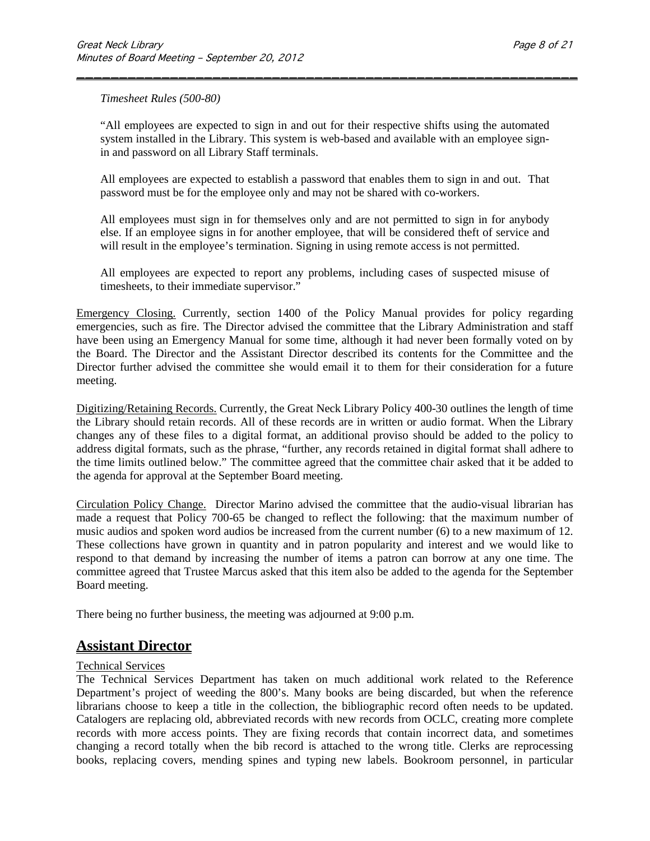*Timesheet Rules (500-80)*

"All employees are expected to sign in and out for their respective shifts using the automated system installed in the Library. This system is web-based and available with an employee signin and password on all Library Staff terminals.

\_\_\_\_\_\_\_\_\_\_\_\_\_\_\_\_\_\_\_\_\_\_\_\_\_\_\_\_\_\_\_\_\_\_\_\_\_\_\_\_\_\_\_\_\_\_\_\_\_\_\_\_\_\_\_\_\_\_\_

All employees are expected to establish a password that enables them to sign in and out. That password must be for the employee only and may not be shared with co-workers.

All employees must sign in for themselves only and are not permitted to sign in for anybody else. If an employee signs in for another employee, that will be considered theft of service and will result in the employee's termination. Signing in using remote access is not permitted.

All employees are expected to report any problems, including cases of suspected misuse of timesheets, to their immediate supervisor."

Emergency Closing. Currently, section 1400 of the Policy Manual provides for policy regarding emergencies, such as fire. The Director advised the committee that the Library Administration and staff have been using an Emergency Manual for some time, although it had never been formally voted on by the Board. The Director and the Assistant Director described its contents for the Committee and the Director further advised the committee she would email it to them for their consideration for a future meeting.

Digitizing/Retaining Records. Currently, the Great Neck Library Policy 400-30 outlines the length of time the Library should retain records. All of these records are in written or audio format. When the Library changes any of these files to a digital format, an additional proviso should be added to the policy to address digital formats, such as the phrase, "further, any records retained in digital format shall adhere to the time limits outlined below." The committee agreed that the committee chair asked that it be added to the agenda for approval at the September Board meeting.

Circulation Policy Change.Director Marino advised the committee that the audio-visual librarian has made a request that Policy 700-65 be changed to reflect the following: that the maximum number of music audios and spoken word audios be increased from the current number (6) to a new maximum of 12. These collections have grown in quantity and in patron popularity and interest and we would like to respond to that demand by increasing the number of items a patron can borrow at any one time. The committee agreed that Trustee Marcus asked that this item also be added to the agenda for the September Board meeting.

There being no further business, the meeting was adjourned at 9:00 p.m.

## **Assistant Director**

#### Technical Services

The Technical Services Department has taken on much additional work related to the Reference Department's project of weeding the 800's. Many books are being discarded, but when the reference librarians choose to keep a title in the collection, the bibliographic record often needs to be updated. Catalogers are replacing old, abbreviated records with new records from OCLC, creating more complete records with more access points. They are fixing records that contain incorrect data, and sometimes changing a record totally when the bib record is attached to the wrong title. Clerks are reprocessing books, replacing covers, mending spines and typing new labels. Bookroom personnel, in particular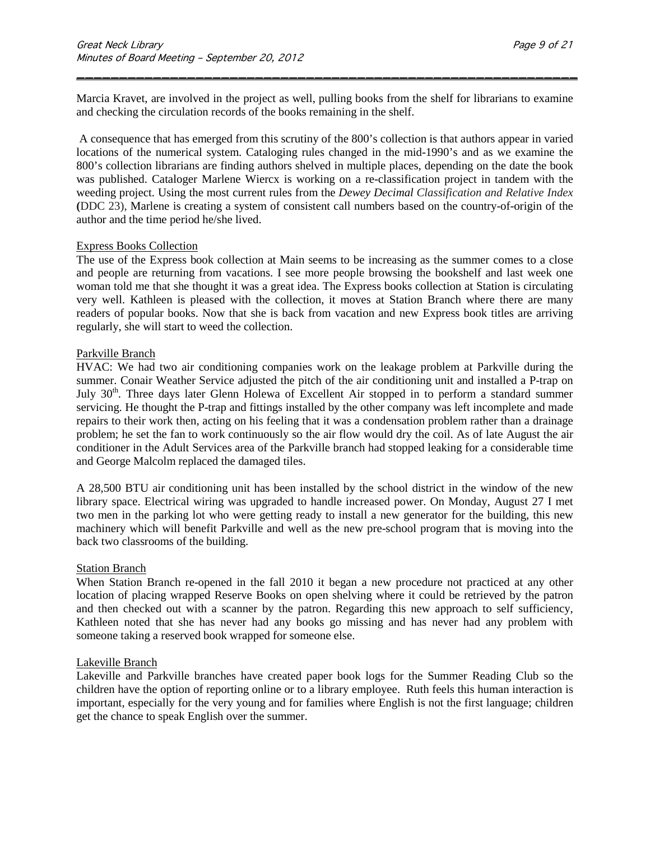Marcia Kravet, are involved in the project as well, pulling books from the shelf for librarians to examine and checking the circulation records of the books remaining in the shelf.

\_\_\_\_\_\_\_\_\_\_\_\_\_\_\_\_\_\_\_\_\_\_\_\_\_\_\_\_\_\_\_\_\_\_\_\_\_\_\_\_\_\_\_\_\_\_\_\_\_\_\_\_\_\_\_\_\_\_\_

A consequence that has emerged from this scrutiny of the 800's collection is that authors appear in varied locations of the numerical system. Cataloging rules changed in the mid-1990's and as we examine the 800's collection librarians are finding authors shelved in multiple places, depending on the date the book was published. Cataloger Marlene Wiercx is working on a re-classification project in tandem with the weeding project. Using the most current rules from the *Dewey Decimal [Classification and Relative Index](https://webpac.greatnecklibrary.org/search~S5?/tdewey+decimal/tdewey+decimal/1%2C4%2C6%2CB/frameset&FF=tdewey+decimal+classification+and+relative+index&2%2C%2C2/indexsort=-)* **(**DDC 23), Marlene is creating a system of consistent call numbers based on the country-of-origin of the author and the time period he/she lived.

#### Express Books Collection

The use of the Express book collection at Main seems to be increasing as the summer comes to a close and people are returning from vacations. I see more people browsing the bookshelf and last week one woman told me that she thought it was a great idea. The Express books collection at Station is circulating very well. Kathleen is pleased with the collection, it moves at Station Branch where there are many readers of popular books. Now that she is back from vacation and new Express book titles are arriving regularly, she will start to weed the collection.

#### Parkville Branch

HVAC: We had two air conditioning companies work on the leakage problem at Parkville during the summer. Conair Weather Service adjusted the pitch of the air conditioning unit and installed a P-trap on July 30<sup>th</sup>. Three days later Glenn Holewa of Excellent Air stopped in to perform a standard summer servicing. He thought the P-trap and fittings installed by the other company was left incomplete and made repairs to their work then, acting on his feeling that it was a condensation problem rather than a drainage problem; he set the fan to work continuously so the air flow would dry the coil. As of late August the air conditioner in the Adult Services area of the Parkville branch had stopped leaking for a considerable time and George Malcolm replaced the damaged tiles.

A 28,500 BTU air conditioning unit has been installed by the school district in the window of the new library space. Electrical wiring was upgraded to handle increased power. On Monday, August 27 I met two men in the parking lot who were getting ready to install a new generator for the building, this new machinery which will benefit Parkville and well as the new pre-school program that is moving into the back two classrooms of the building.

#### Station Branch

When Station Branch re-opened in the fall 2010 it began a new procedure not practiced at any other location of placing wrapped Reserve Books on open shelving where it could be retrieved by the patron and then checked out with a scanner by the patron. Regarding this new approach to self sufficiency, Kathleen noted that she has never had any books go missing and has never had any problem with someone taking a reserved book wrapped for someone else.

#### Lakeville Branch

Lakeville and Parkville branches have created paper book logs for the Summer Reading Club so the children have the option of reporting online or to a library employee. Ruth feels this human interaction is important, especially for the very young and for families where English is not the first language; children get the chance to speak English over the summer.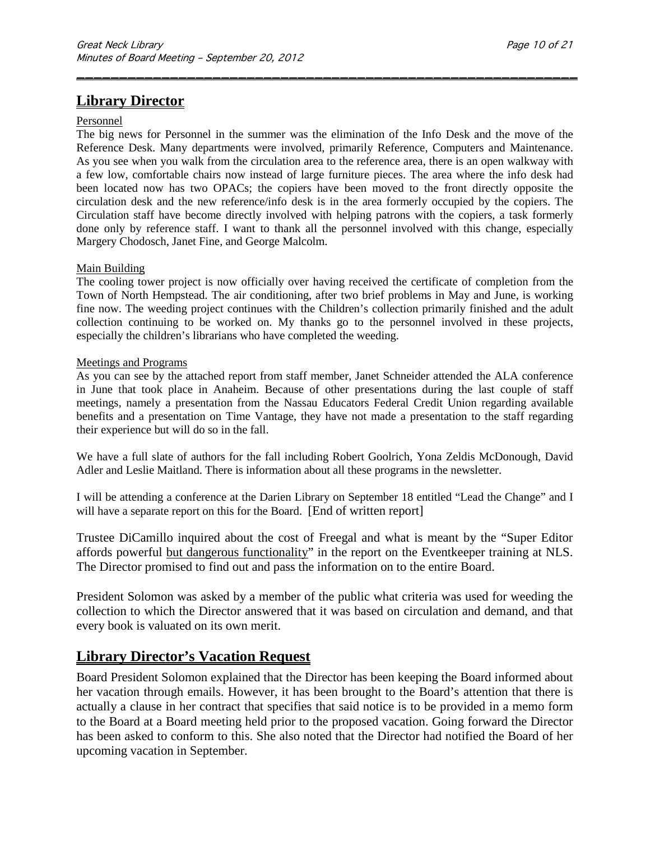# **Library Director**

#### Personnel

The big news for Personnel in the summer was the elimination of the Info Desk and the move of the Reference Desk. Many departments were involved, primarily Reference, Computers and Maintenance. As you see when you walk from the circulation area to the reference area, there is an open walkway with a few low, comfortable chairs now instead of large furniture pieces. The area where the info desk had been located now has two OPACs; the copiers have been moved to the front directly opposite the circulation desk and the new reference/info desk is in the area formerly occupied by the copiers. The Circulation staff have become directly involved with helping patrons with the copiers, a task formerly done only by reference staff. I want to thank all the personnel involved with this change, especially Margery Chodosch, Janet Fine, and George Malcolm.

\_\_\_\_\_\_\_\_\_\_\_\_\_\_\_\_\_\_\_\_\_\_\_\_\_\_\_\_\_\_\_\_\_\_\_\_\_\_\_\_\_\_\_\_\_\_\_\_\_\_\_\_\_\_\_\_\_\_\_

#### Main Building

The cooling tower project is now officially over having received the certificate of completion from the Town of North Hempstead. The air conditioning, after two brief problems in May and June, is working fine now. The weeding project continues with the Children's collection primarily finished and the adult collection continuing to be worked on. My thanks go to the personnel involved in these projects, especially the children's librarians who have completed the weeding.

#### Meetings and Programs

As you can see by the attached report from staff member, Janet Schneider attended the ALA conference in June that took place in Anaheim. Because of other presentations during the last couple of staff meetings, namely a presentation from the Nassau Educators Federal Credit Union regarding available benefits and a presentation on Time Vantage, they have not made a presentation to the staff regarding their experience but will do so in the fall.

We have a full slate of authors for the fall including Robert Goolrich, Yona Zeldis McDonough, David Adler and Leslie Maitland. There is information about all these programs in the newsletter.

I will be attending a conference at the Darien Library on September 18 entitled "Lead the Change" and I will have a separate report on this for the Board. [End of written report]

Trustee DiCamillo inquired about the cost of Freegal and what is meant by the "Super Editor affords powerful but dangerous functionality" in the report on the Eventkeeper training at NLS. The Director promised to find out and pass the information on to the entire Board.

President Solomon was asked by a member of the public what criteria was used for weeding the collection to which the Director answered that it was based on circulation and demand, and that every book is valuated on its own merit.

#### **Library Director's Vacation Request**

Board President Solomon explained that the Director has been keeping the Board informed about her vacation through emails. However, it has been brought to the Board's attention that there is actually a clause in her contract that specifies that said notice is to be provided in a memo form to the Board at a Board meeting held prior to the proposed vacation. Going forward the Director has been asked to conform to this. She also noted that the Director had notified the Board of her upcoming vacation in September.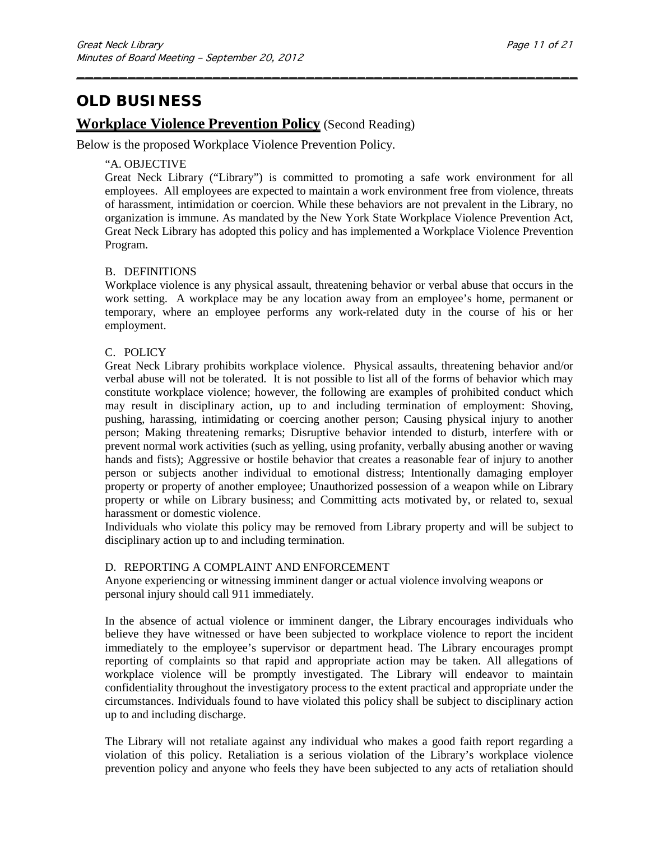# **OLD BUSINESS**

### **Workplace Violence Prevention Policy** (Second Reading)

Below is the proposed Workplace Violence Prevention Policy.

#### "A. OBJECTIVE

Great Neck Library ("Library") is committed to promoting a safe work environment for all employees. All employees are expected to maintain a work environment free from violence, threats of harassment, intimidation or coercion. While these behaviors are not prevalent in the Library, no organization is immune. As mandated by the New York State Workplace Violence Prevention Act, Great Neck Library has adopted this policy and has implemented a Workplace Violence Prevention Program.

\_\_\_\_\_\_\_\_\_\_\_\_\_\_\_\_\_\_\_\_\_\_\_\_\_\_\_\_\_\_\_\_\_\_\_\_\_\_\_\_\_\_\_\_\_\_\_\_\_\_\_\_\_\_\_\_\_\_\_

#### B. DEFINITIONS

Workplace violence is any physical assault, threatening behavior or verbal abuse that occurs in the work setting. A workplace may be any location away from an employee's home, permanent or temporary, where an employee performs any work-related duty in the course of his or her employment.

#### C. POLICY

Great Neck Library prohibits workplace violence. Physical assaults, threatening behavior and/or verbal abuse will not be tolerated. It is not possible to list all of the forms of behavior which may constitute workplace violence; however, the following are examples of prohibited conduct which may result in disciplinary action, up to and including termination of employment: Shoving, pushing, harassing, intimidating or coercing another person; Causing physical injury to another person; Making threatening remarks; Disruptive behavior intended to disturb, interfere with or prevent normal work activities (such as yelling, using profanity, verbally abusing another or waving hands and fists); Aggressive or hostile behavior that creates a reasonable fear of injury to another person or subjects another individual to emotional distress; Intentionally damaging employer property or property of another employee; Unauthorized possession of a weapon while on Library property or while on Library business; and Committing acts motivated by, or related to, sexual harassment or domestic violence.

Individuals who violate this policy may be removed from Library property and will be subject to disciplinary action up to and including termination.

#### D. REPORTING A COMPLAINT AND ENFORCEMENT

Anyone experiencing or witnessing imminent danger or actual violence involving weapons or personal injury should call 911 immediately.

In the absence of actual violence or imminent danger, the Library encourages individuals who believe they have witnessed or have been subjected to workplace violence to report the incident immediately to the employee's supervisor or department head. The Library encourages prompt reporting of complaints so that rapid and appropriate action may be taken. All allegations of workplace violence will be promptly investigated. The Library will endeavor to maintain confidentiality throughout the investigatory process to the extent practical and appropriate under the circumstances. Individuals found to have violated this policy shall be subject to disciplinary action up to and including discharge.

The Library will not retaliate against any individual who makes a good faith report regarding a violation of this policy. Retaliation is a serious violation of the Library's workplace violence prevention policy and anyone who feels they have been subjected to any acts of retaliation should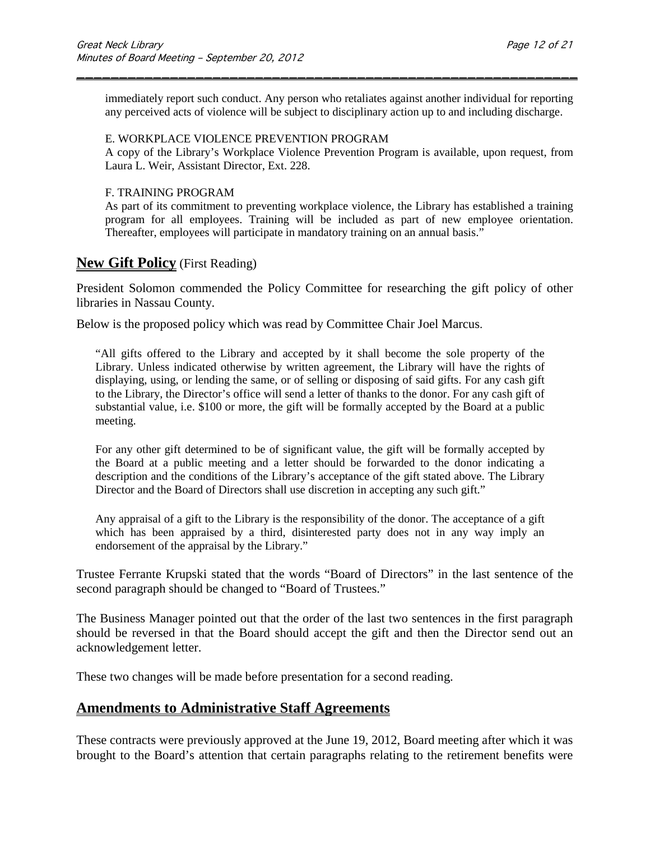immediately report such conduct. Any person who retaliates against another individual for reporting any perceived acts of violence will be subject to disciplinary action up to and including discharge.

\_\_\_\_\_\_\_\_\_\_\_\_\_\_\_\_\_\_\_\_\_\_\_\_\_\_\_\_\_\_\_\_\_\_\_\_\_\_\_\_\_\_\_\_\_\_\_\_\_\_\_\_\_\_\_\_\_\_\_

#### E. WORKPLACE VIOLENCE PREVENTION PROGRAM

A copy of the Library's Workplace Violence Prevention Program is available, upon request, from Laura L. Weir, Assistant Director, Ext. 228.

#### F. TRAINING PROGRAM

As part of its commitment to preventing workplace violence, the Library has established a training program for all employees. Training will be included as part of new employee orientation. Thereafter, employees will participate in mandatory training on an annual basis."

### **New Gift Policy** (First Reading)

President Solomon commended the Policy Committee for researching the gift policy of other libraries in Nassau County.

Below is the proposed policy which was read by Committee Chair Joel Marcus.

"All gifts offered to the Library and accepted by it shall become the sole property of the Library. Unless indicated otherwise by written agreement, the Library will have the rights of displaying, using, or lending the same, or of selling or disposing of said gifts. For any cash gift to the Library, the Director's office will send a letter of thanks to the donor. For any cash gift of substantial value, i.e. \$100 or more, the gift will be formally accepted by the Board at a public meeting.

For any other gift determined to be of significant value, the gift will be formally accepted by the Board at a public meeting and a letter should be forwarded to the donor indicating a description and the conditions of the Library's acceptance of the gift stated above. The Library Director and the Board of Directors shall use discretion in accepting any such gift."

Any appraisal of a gift to the Library is the responsibility of the donor. The acceptance of a gift which has been appraised by a third, disinterested party does not in any way imply an endorsement of the appraisal by the Library."

Trustee Ferrante Krupski stated that the words "Board of Directors" in the last sentence of the second paragraph should be changed to "Board of Trustees."

The Business Manager pointed out that the order of the last two sentences in the first paragraph should be reversed in that the Board should accept the gift and then the Director send out an acknowledgement letter.

These two changes will be made before presentation for a second reading.

## **Amendments to Administrative Staff Agreements**

These contracts were previously approved at the June 19, 2012, Board meeting after which it was brought to the Board's attention that certain paragraphs relating to the retirement benefits were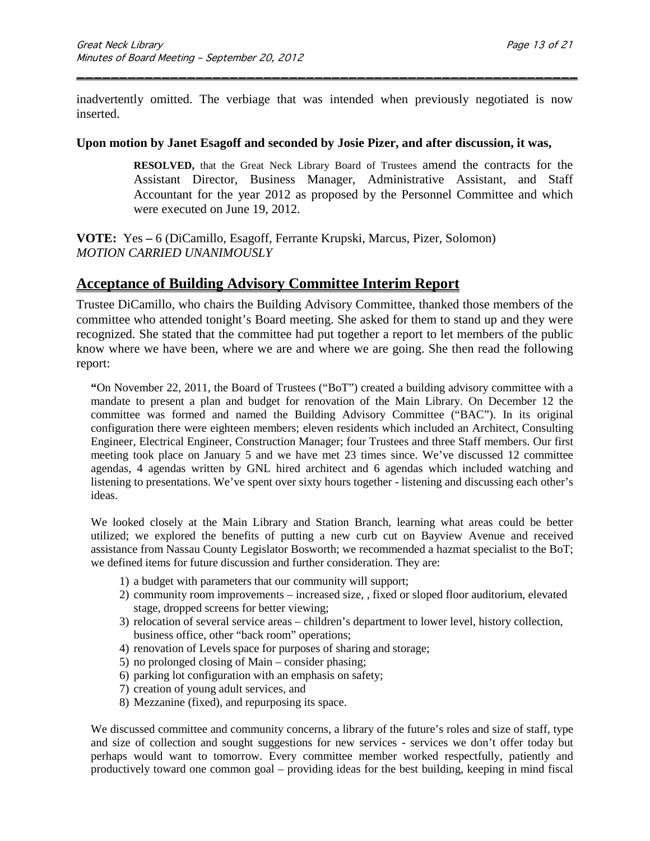inadvertently omitted. The verbiage that was intended when previously negotiated is now inserted.

\_\_\_\_\_\_\_\_\_\_\_\_\_\_\_\_\_\_\_\_\_\_\_\_\_\_\_\_\_\_\_\_\_\_\_\_\_\_\_\_\_\_\_\_\_\_\_\_\_\_\_\_\_\_\_\_\_\_\_

#### **Upon motion by Janet Esagoff and seconded by Josie Pizer, and after discussion, it was,**

**RESOLVED,** that the Great Neck Library Board of Trustees amend the contracts for the Assistant Director, Business Manager, Administrative Assistant, and Staff Accountant for the year 2012 as proposed by the Personnel Committee and which were executed on June 19, 2012.

**VOTE:** Yes **–** 6 (DiCamillo, Esagoff, Ferrante Krupski, Marcus, Pizer, Solomon) *MOTION CARRIED UNANIMOUSLY* 

## **Acceptance of Building Advisory Committee Interim Report**

Trustee DiCamillo, who chairs the Building Advisory Committee, thanked those members of the committee who attended tonight's Board meeting. She asked for them to stand up and they were recognized. She stated that the committee had put together a report to let members of the public know where we have been, where we are and where we are going. She then read the following report:

**"**On November 22, 2011, the Board of Trustees ("BoT") created a building advisory committee with a mandate to present a plan and budget for renovation of the Main Library. On December 12 the committee was formed and named the Building Advisory Committee ("BAC"). In its original configuration there were eighteen members; eleven residents which included an Architect, Consulting Engineer, Electrical Engineer, Construction Manager; four Trustees and three Staff members. Our first meeting took place on January 5 and we have met 23 times since. We've discussed 12 committee agendas, 4 agendas written by GNL hired architect and 6 agendas which included watching and listening to presentations. We've spent over sixty hours together - listening and discussing each other's ideas.

We looked closely at the Main Library and Station Branch, learning what areas could be better utilized; we explored the benefits of putting a new curb cut on Bayview Avenue and received assistance from Nassau County Legislator Bosworth; we recommended a hazmat specialist to the BoT; we defined items for future discussion and further consideration. They are:

- 1) a budget with parameters that our community will support;
- 2) community room improvements increased size, , fixed or sloped floor auditorium, elevated stage, dropped screens for better viewing;
- 3) relocation of several service areas children's department to lower level, history collection, business office, other "back room" operations;
- 4) renovation of Levels space for purposes of sharing and storage;
- 5) no prolonged closing of Main consider phasing;
- 6) parking lot configuration with an emphasis on safety;
- 7) creation of young adult services, and
- 8) Mezzanine (fixed), and repurposing its space.

We discussed committee and community concerns, a library of the future's roles and size of staff, type and size of collection and sought suggestions for new services - services we don't offer today but perhaps would want to tomorrow. Every committee member worked respectfully, patiently and productively toward one common goal – providing ideas for the best building, keeping in mind fiscal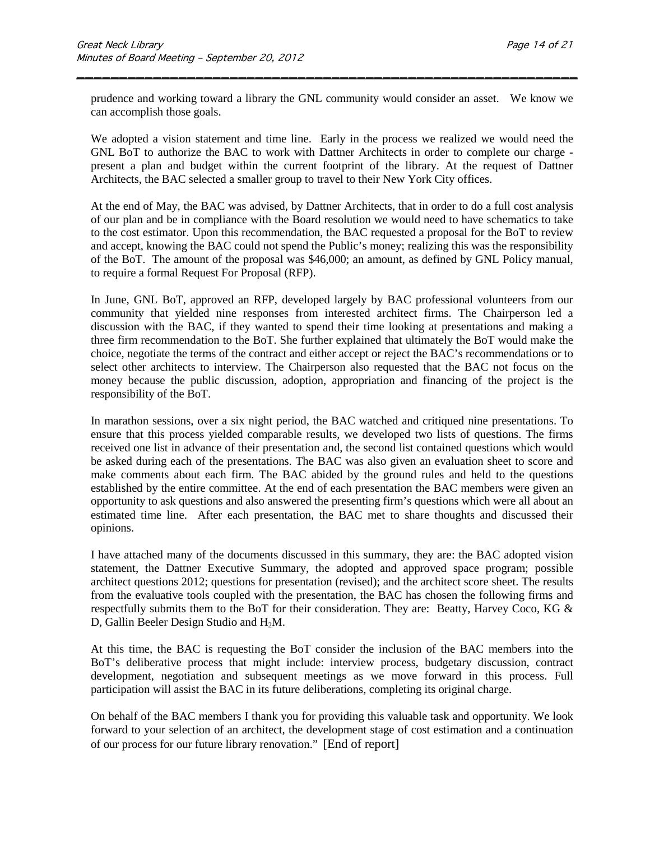prudence and working toward a library the GNL community would consider an asset. We know we can accomplish those goals.

\_\_\_\_\_\_\_\_\_\_\_\_\_\_\_\_\_\_\_\_\_\_\_\_\_\_\_\_\_\_\_\_\_\_\_\_\_\_\_\_\_\_\_\_\_\_\_\_\_\_\_\_\_\_\_\_\_\_\_

We adopted a vision statement and time line. Early in the process we realized we would need the GNL BoT to authorize the BAC to work with Dattner Architects in order to complete our charge present a plan and budget within the current footprint of the library. At the request of Dattner Architects, the BAC selected a smaller group to travel to their New York City offices.

At the end of May, the BAC was advised, by Dattner Architects, that in order to do a full cost analysis of our plan and be in compliance with the Board resolution we would need to have schematics to take to the cost estimator. Upon this recommendation, the BAC requested a proposal for the BoT to review and accept, knowing the BAC could not spend the Public's money; realizing this was the responsibility of the BoT. The amount of the proposal was \$46,000; an amount, as defined by GNL Policy manual, to require a formal Request For Proposal (RFP).

In June, GNL BoT, approved an RFP, developed largely by BAC professional volunteers from our community that yielded nine responses from interested architect firms. The Chairperson led a discussion with the BAC, if they wanted to spend their time looking at presentations and making a three firm recommendation to the BoT. She further explained that ultimately the BoT would make the choice, negotiate the terms of the contract and either accept or reject the BAC's recommendations or to select other architects to interview. The Chairperson also requested that the BAC not focus on the money because the public discussion, adoption, appropriation and financing of the project is the responsibility of the BoT.

In marathon sessions, over a six night period, the BAC watched and critiqued nine presentations. To ensure that this process yielded comparable results, we developed two lists of questions. The firms received one list in advance of their presentation and, the second list contained questions which would be asked during each of the presentations. The BAC was also given an evaluation sheet to score and make comments about each firm. The BAC abided by the ground rules and held to the questions established by the entire committee. At the end of each presentation the BAC members were given an opportunity to ask questions and also answered the presenting firm's questions which were all about an estimated time line. After each presentation, the BAC met to share thoughts and discussed their opinions.

I have attached many of the documents discussed in this summary, they are: the BAC adopted vision statement, the Dattner Executive Summary, the adopted and approved space program; possible architect questions 2012; questions for presentation (revised); and the architect score sheet. The results from the evaluative tools coupled with the presentation, the BAC has chosen the following firms and respectfully submits them to the BoT for their consideration. They are: Beatty, Harvey Coco, KG & D, Gallin Beeler Design Studio and H<sub>2</sub>M.

At this time, the BAC is requesting the BoT consider the inclusion of the BAC members into the BoT's deliberative process that might include: interview process, budgetary discussion, contract development, negotiation and subsequent meetings as we move forward in this process. Full participation will assist the BAC in its future deliberations, completing its original charge.

On behalf of the BAC members I thank you for providing this valuable task and opportunity. We look forward to your selection of an architect, the development stage of cost estimation and a continuation of our process for our future library renovation." [End of report]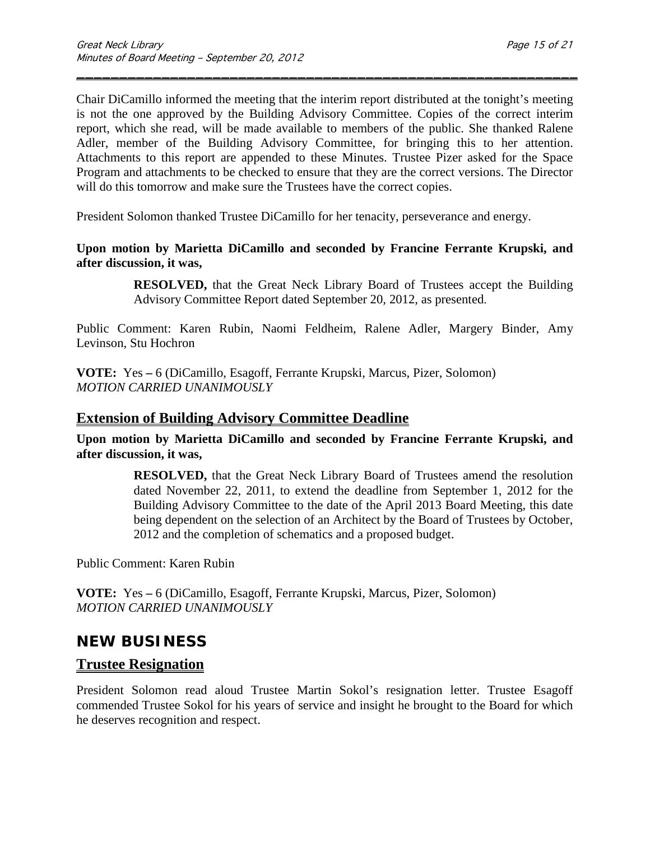Chair DiCamillo informed the meeting that the interim report distributed at the tonight's meeting is not the one approved by the Building Advisory Committee. Copies of the correct interim report, which she read, will be made available to members of the public. She thanked Ralene Adler, member of the Building Advisory Committee, for bringing this to her attention. Attachments to this report are appended to these Minutes. Trustee Pizer asked for the Space Program and attachments to be checked to ensure that they are the correct versions. The Director will do this tomorrow and make sure the Trustees have the correct copies.

\_\_\_\_\_\_\_\_\_\_\_\_\_\_\_\_\_\_\_\_\_\_\_\_\_\_\_\_\_\_\_\_\_\_\_\_\_\_\_\_\_\_\_\_\_\_\_\_\_\_\_\_\_\_\_\_\_\_\_

President Solomon thanked Trustee DiCamillo for her tenacity, perseverance and energy.

### **Upon motion by Marietta DiCamillo and seconded by Francine Ferrante Krupski, and after discussion, it was,**

**RESOLVED,** that the Great Neck Library Board of Trustees accept the Building Advisory Committee Report dated September 20, 2012, as presented.

Public Comment: Karen Rubin, Naomi Feldheim, Ralene Adler, Margery Binder, Amy Levinson, Stu Hochron

**VOTE:** Yes **–** 6 (DiCamillo, Esagoff, Ferrante Krupski, Marcus, Pizer, Solomon) *MOTION CARRIED UNANIMOUSLY* 

## **Extension of Building Advisory Committee Deadline**

**Upon motion by Marietta DiCamillo and seconded by Francine Ferrante Krupski, and after discussion, it was,**

> **RESOLVED,** that the Great Neck Library Board of Trustees amend the resolution dated November 22, 2011, to extend the deadline from September 1, 2012 for the Building Advisory Committee to the date of the April 2013 Board Meeting, this date being dependent on the selection of an Architect by the Board of Trustees by October, 2012 and the completion of schematics and a proposed budget.

Public Comment: Karen Rubin

**VOTE:** Yes **–** 6 (DiCamillo, Esagoff, Ferrante Krupski, Marcus, Pizer, Solomon) *MOTION CARRIED UNANIMOUSLY* 

# **NEW BUSINESS**

# **Trustee Resignation**

President Solomon read aloud Trustee Martin Sokol's resignation letter. Trustee Esagoff commended Trustee Sokol for his years of service and insight he brought to the Board for which he deserves recognition and respect.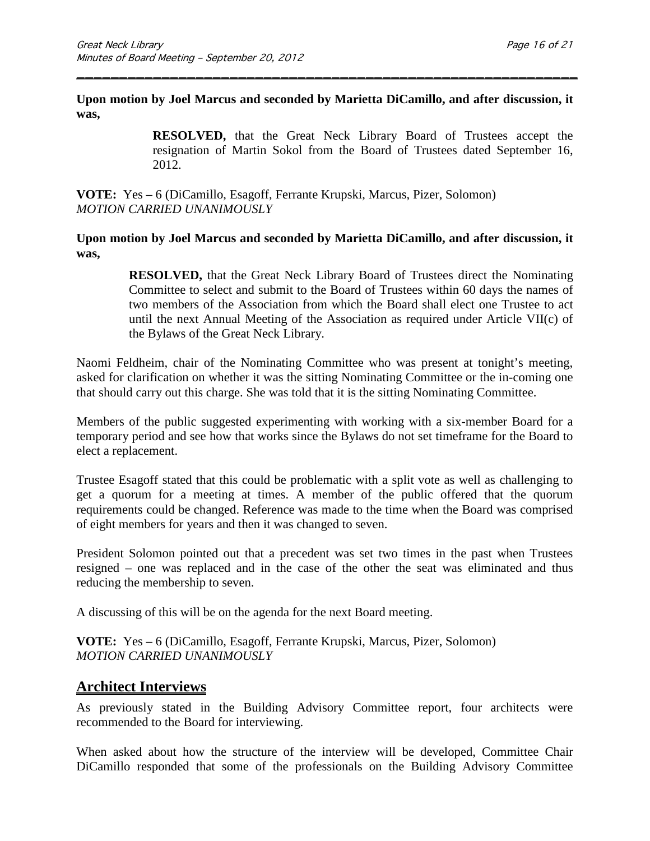**Upon motion by Joel Marcus and seconded by Marietta DiCamillo, and after discussion, it was,**

\_\_\_\_\_\_\_\_\_\_\_\_\_\_\_\_\_\_\_\_\_\_\_\_\_\_\_\_\_\_\_\_\_\_\_\_\_\_\_\_\_\_\_\_\_\_\_\_\_\_\_\_\_\_\_\_\_\_\_

**RESOLVED,** that the Great Neck Library Board of Trustees accept the resignation of Martin Sokol from the Board of Trustees dated September 16, 2012.

**VOTE:** Yes **–** 6 (DiCamillo, Esagoff, Ferrante Krupski, Marcus, Pizer, Solomon) *MOTION CARRIED UNANIMOUSLY*

**Upon motion by Joel Marcus and seconded by Marietta DiCamillo, and after discussion, it was,**

> **RESOLVED,** that the Great Neck Library Board of Trustees direct the Nominating Committee to select and submit to the Board of Trustees within 60 days the names of two members of the Association from which the Board shall elect one Trustee to act until the next Annual Meeting of the Association as required under Article VII(c) of the Bylaws of the Great Neck Library.

Naomi Feldheim, chair of the Nominating Committee who was present at tonight's meeting, asked for clarification on whether it was the sitting Nominating Committee or the in-coming one that should carry out this charge. She was told that it is the sitting Nominating Committee.

Members of the public suggested experimenting with working with a six-member Board for a temporary period and see how that works since the Bylaws do not set timeframe for the Board to elect a replacement.

Trustee Esagoff stated that this could be problematic with a split vote as well as challenging to get a quorum for a meeting at times. A member of the public offered that the quorum requirements could be changed. Reference was made to the time when the Board was comprised of eight members for years and then it was changed to seven.

President Solomon pointed out that a precedent was set two times in the past when Trustees resigned – one was replaced and in the case of the other the seat was eliminated and thus reducing the membership to seven.

A discussing of this will be on the agenda for the next Board meeting.

**VOTE:** Yes **–** 6 (DiCamillo, Esagoff, Ferrante Krupski, Marcus, Pizer, Solomon) *MOTION CARRIED UNANIMOUSLY* 

## **Architect Interviews**

As previously stated in the Building Advisory Committee report, four architects were recommended to the Board for interviewing.

When asked about how the structure of the interview will be developed, Committee Chair DiCamillo responded that some of the professionals on the Building Advisory Committee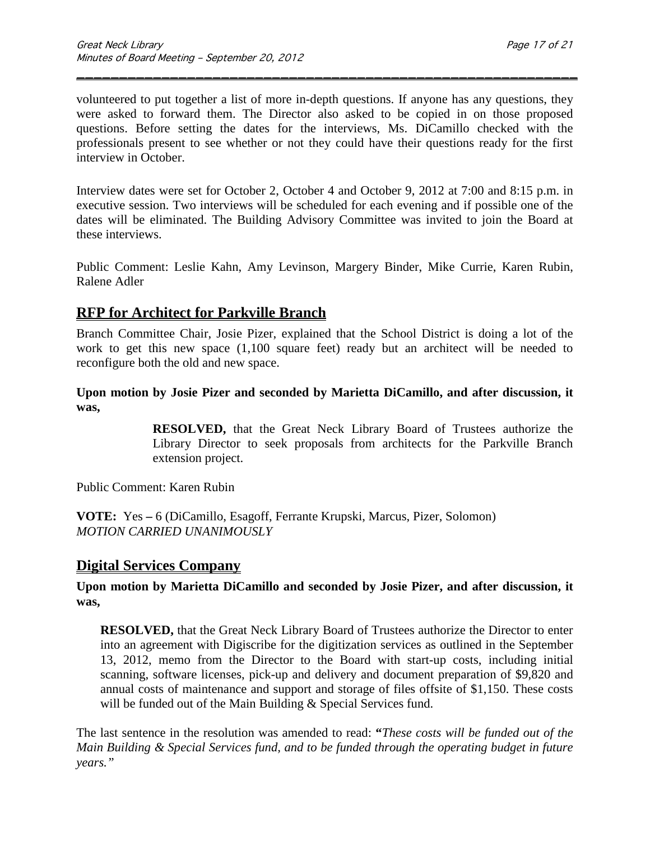volunteered to put together a list of more in-depth questions. If anyone has any questions, they were asked to forward them. The Director also asked to be copied in on those proposed questions. Before setting the dates for the interviews, Ms. DiCamillo checked with the professionals present to see whether or not they could have their questions ready for the first interview in October.

\_\_\_\_\_\_\_\_\_\_\_\_\_\_\_\_\_\_\_\_\_\_\_\_\_\_\_\_\_\_\_\_\_\_\_\_\_\_\_\_\_\_\_\_\_\_\_\_\_\_\_\_\_\_\_\_\_\_\_

Interview dates were set for October 2, October 4 and October 9, 2012 at 7:00 and 8:15 p.m. in executive session. Two interviews will be scheduled for each evening and if possible one of the dates will be eliminated. The Building Advisory Committee was invited to join the Board at these interviews.

Public Comment: Leslie Kahn, Amy Levinson, Margery Binder, Mike Currie, Karen Rubin, Ralene Adler

## **RFP for Architect for Parkville Branch**

Branch Committee Chair, Josie Pizer, explained that the School District is doing a lot of the work to get this new space (1,100 square feet) ready but an architect will be needed to reconfigure both the old and new space.

**Upon motion by Josie Pizer and seconded by Marietta DiCamillo, and after discussion, it was,**

> **RESOLVED,** that the Great Neck Library Board of Trustees authorize the Library Director to seek proposals from architects for the Parkville Branch extension project.

Public Comment: Karen Rubin

**VOTE:** Yes **–** 6 (DiCamillo, Esagoff, Ferrante Krupski, Marcus, Pizer, Solomon) *MOTION CARRIED UNANIMOUSLY*

## **Digital Services Company**

### **Upon motion by Marietta DiCamillo and seconded by Josie Pizer, and after discussion, it was,**

**RESOLVED,** that the Great Neck Library Board of Trustees authorize the Director to enter into an agreement with Digiscribe for the digitization services as outlined in the September 13, 2012, memo from the Director to the Board with start-up costs, including initial scanning, software licenses, pick-up and delivery and document preparation of \$9,820 and annual costs of maintenance and support and storage of files offsite of \$1,150. These costs will be funded out of the Main Building & Special Services fund.

The last sentence in the resolution was amended to read: **"***These costs will be funded out of the Main Building & Special Services fund, and to be funded through the operating budget in future years."*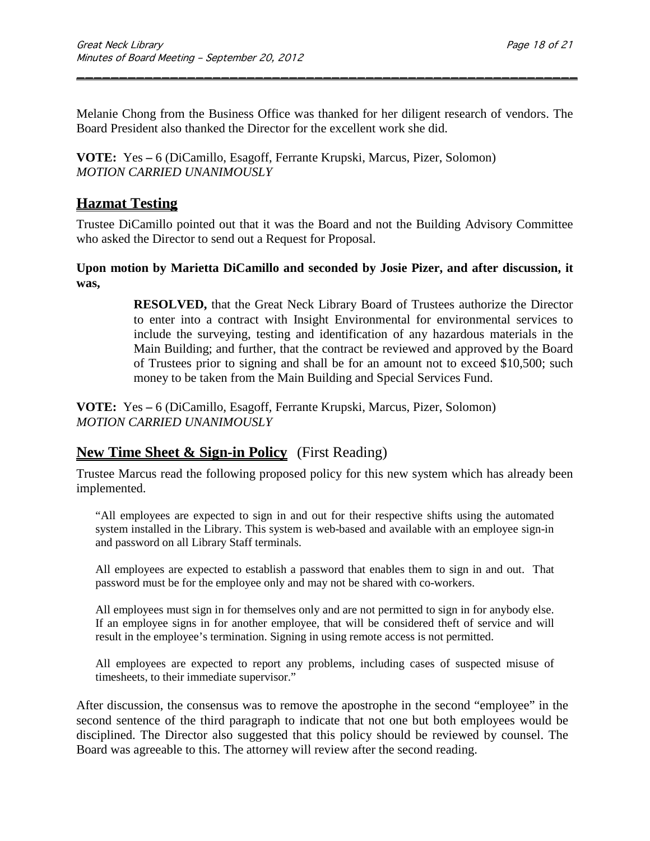Melanie Chong from the Business Office was thanked for her diligent research of vendors. The Board President also thanked the Director for the excellent work she did.

\_\_\_\_\_\_\_\_\_\_\_\_\_\_\_\_\_\_\_\_\_\_\_\_\_\_\_\_\_\_\_\_\_\_\_\_\_\_\_\_\_\_\_\_\_\_\_\_\_\_\_\_\_\_\_\_\_\_\_

**VOTE:** Yes **–** 6 (DiCamillo, Esagoff, Ferrante Krupski, Marcus, Pizer, Solomon) *MOTION CARRIED UNANIMOUSLY*

# **Hazmat Testing**

Trustee DiCamillo pointed out that it was the Board and not the Building Advisory Committee who asked the Director to send out a Request for Proposal.

### **Upon motion by Marietta DiCamillo and seconded by Josie Pizer, and after discussion, it was,**

**RESOLVED,** that the Great Neck Library Board of Trustees authorize the Director to enter into a contract with Insight Environmental for environmental services to include the surveying, testing and identification of any hazardous materials in the Main Building; and further, that the contract be reviewed and approved by the Board of Trustees prior to signing and shall be for an amount not to exceed \$10,500; such money to be taken from the Main Building and Special Services Fund.

**VOTE:** Yes **–** 6 (DiCamillo, Esagoff, Ferrante Krupski, Marcus, Pizer, Solomon) *MOTION CARRIED UNANIMOUSLY*

# **New Time Sheet & Sign-in Policy** (First Reading)

Trustee Marcus read the following proposed policy for this new system which has already been implemented.

"All employees are expected to sign in and out for their respective shifts using the automated system installed in the Library. This system is web-based and available with an employee sign-in and password on all Library Staff terminals.

All employees are expected to establish a password that enables them to sign in and out. That password must be for the employee only and may not be shared with co-workers.

All employees must sign in for themselves only and are not permitted to sign in for anybody else. If an employee signs in for another employee, that will be considered theft of service and will result in the employee's termination. Signing in using remote access is not permitted.

All employees are expected to report any problems, including cases of suspected misuse of timesheets, to their immediate supervisor."

After discussion, the consensus was to remove the apostrophe in the second "employee" in the second sentence of the third paragraph to indicate that not one but both employees would be disciplined. The Director also suggested that this policy should be reviewed by counsel. The Board was agreeable to this. The attorney will review after the second reading.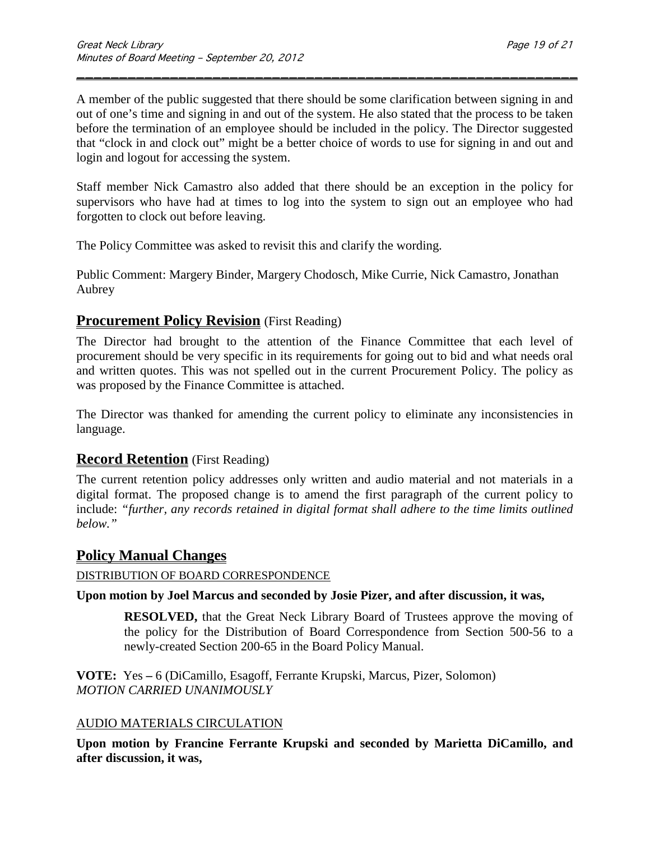A member of the public suggested that there should be some clarification between signing in and out of one's time and signing in and out of the system. He also stated that the process to be taken before the termination of an employee should be included in the policy. The Director suggested that "clock in and clock out" might be a better choice of words to use for signing in and out and login and logout for accessing the system.

\_\_\_\_\_\_\_\_\_\_\_\_\_\_\_\_\_\_\_\_\_\_\_\_\_\_\_\_\_\_\_\_\_\_\_\_\_\_\_\_\_\_\_\_\_\_\_\_\_\_\_\_\_\_\_\_\_\_\_

Staff member Nick Camastro also added that there should be an exception in the policy for supervisors who have had at times to log into the system to sign out an employee who had forgotten to clock out before leaving.

The Policy Committee was asked to revisit this and clarify the wording.

Public Comment: Margery Binder, Margery Chodosch, Mike Currie, Nick Camastro, Jonathan Aubrey

## **Procurement Policy Revision** (First Reading)

The Director had brought to the attention of the Finance Committee that each level of procurement should be very specific in its requirements for going out to bid and what needs oral and written quotes. This was not spelled out in the current Procurement Policy. The policy as was proposed by the Finance Committee is attached.

The Director was thanked for amending the current policy to eliminate any inconsistencies in language.

## **Record Retention** (First Reading)

The current retention policy addresses only written and audio material and not materials in a digital format. The proposed change is to amend the first paragraph of the current policy to include: *"further, any records retained in digital format shall adhere to the time limits outlined below."*

# **Policy Manual Changes**

### DISTRIBUTION OF BOARD CORRESPONDENCE

**Upon motion by Joel Marcus and seconded by Josie Pizer, and after discussion, it was,**

**RESOLVED,** that the Great Neck Library Board of Trustees approve the moving of the policy for the Distribution of Board Correspondence from Section 500-56 to a newly-created Section 200-65 in the Board Policy Manual.

**VOTE:** Yes **–** 6 (DiCamillo, Esagoff, Ferrante Krupski, Marcus, Pizer, Solomon) *MOTION CARRIED UNANIMOUSLY*

### AUDIO MATERIALS CIRCULATION

**Upon motion by Francine Ferrante Krupski and seconded by Marietta DiCamillo, and after discussion, it was,**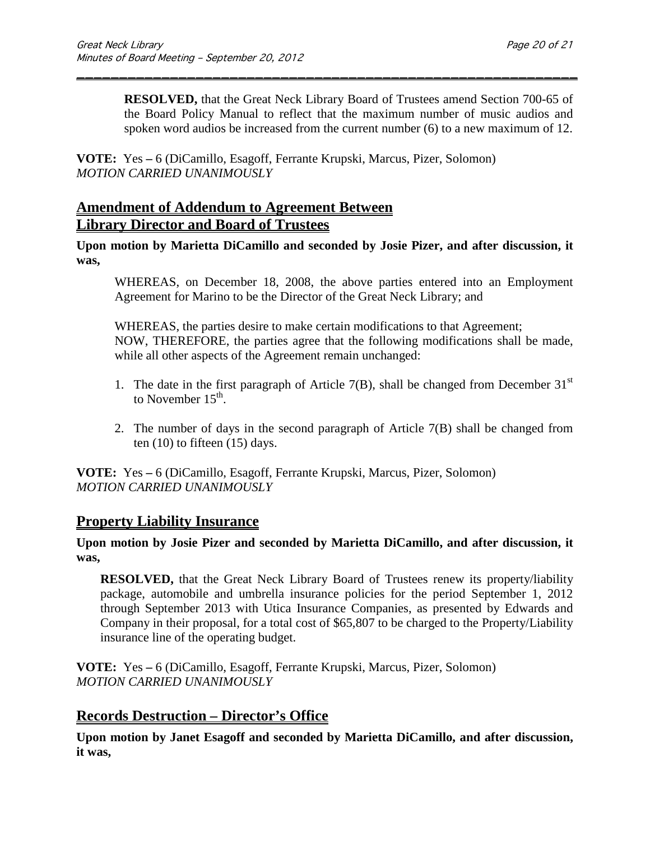**RESOLVED,** that the Great Neck Library Board of Trustees amend Section 700-65 of the Board Policy Manual to reflect that the maximum number of music audios and spoken word audios be increased from the current number (6) to a new maximum of 12.

\_\_\_\_\_\_\_\_\_\_\_\_\_\_\_\_\_\_\_\_\_\_\_\_\_\_\_\_\_\_\_\_\_\_\_\_\_\_\_\_\_\_\_\_\_\_\_\_\_\_\_\_\_\_\_\_\_\_\_

**VOTE:** Yes **–** 6 (DiCamillo, Esagoff, Ferrante Krupski, Marcus, Pizer, Solomon) *MOTION CARRIED UNANIMOUSLY*

# **Amendment of Addendum to Agreement Between Library Director and Board of Trustees**

**Upon motion by Marietta DiCamillo and seconded by Josie Pizer, and after discussion, it was,**

WHEREAS, on December 18, 2008, the above parties entered into an Employment Agreement for Marino to be the Director of the Great Neck Library; and

WHEREAS, the parties desire to make certain modifications to that Agreement; NOW, THEREFORE, the parties agree that the following modifications shall be made, while all other aspects of the Agreement remain unchanged:

- 1. The date in the first paragraph of Article 7(B), shall be changed from December  $31<sup>st</sup>$ to November  $15<sup>th</sup>$ .
- 2. The number of days in the second paragraph of Article 7(B) shall be changed from ten (10) to fifteen (15) days.

**VOTE:** Yes **–** 6 (DiCamillo, Esagoff, Ferrante Krupski, Marcus, Pizer, Solomon) *MOTION CARRIED UNANIMOUSLY*

# **Property Liability Insurance**

### **Upon motion by Josie Pizer and seconded by Marietta DiCamillo, and after discussion, it was,**

**RESOLVED,** that the Great Neck Library Board of Trustees renew its property/liability package, automobile and umbrella insurance policies for the period September 1, 2012 through September 2013 with Utica Insurance Companies, as presented by Edwards and Company in their proposal, for a total cost of \$65,807 to be charged to the Property/Liability insurance line of the operating budget.

**VOTE:** Yes **–** 6 (DiCamillo, Esagoff, Ferrante Krupski, Marcus, Pizer, Solomon) *MOTION CARRIED UNANIMOUSLY*

# **Records Destruction – Director's Office**

**Upon motion by Janet Esagoff and seconded by Marietta DiCamillo, and after discussion, it was,**